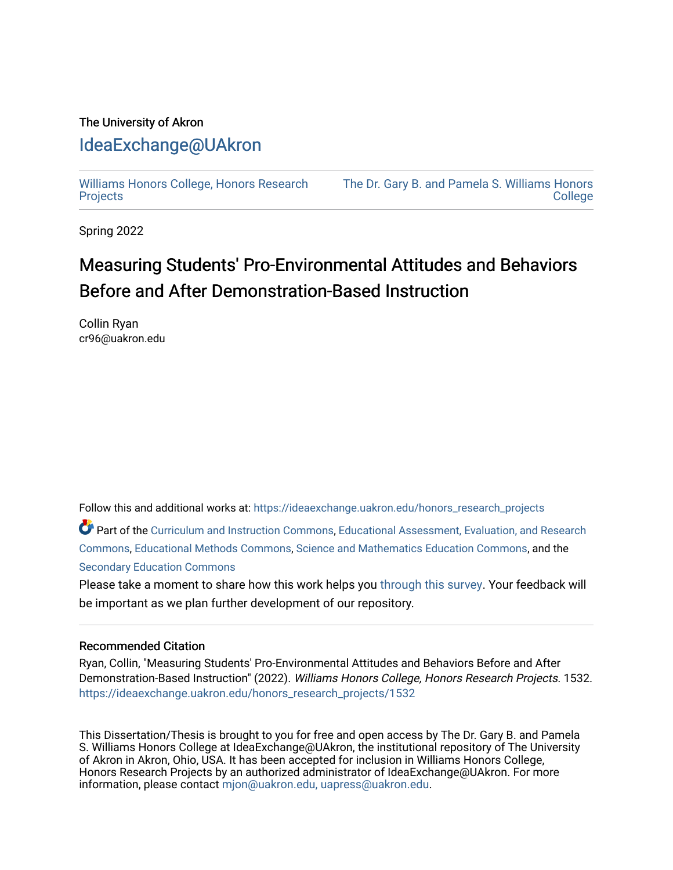## The University of Akron [IdeaExchange@UAkron](https://ideaexchange.uakron.edu/)

[Williams Honors College, Honors Research](https://ideaexchange.uakron.edu/honors_research_projects)  **[Projects](https://ideaexchange.uakron.edu/honors_research_projects)** 

[The Dr. Gary B. and Pamela S. Williams Honors](https://ideaexchange.uakron.edu/honorscollege_ideas)  **College** 

Spring 2022

# Measuring Students' Pro-Environmental Attitudes and Behaviors Before and After Demonstration-Based Instruction

Collin Ryan cr96@uakron.edu

Follow this and additional works at: [https://ideaexchange.uakron.edu/honors\\_research\\_projects](https://ideaexchange.uakron.edu/honors_research_projects?utm_source=ideaexchange.uakron.edu%2Fhonors_research_projects%2F1532&utm_medium=PDF&utm_campaign=PDFCoverPages) 

Part of the [Curriculum and Instruction Commons,](http://network.bepress.com/hgg/discipline/786?utm_source=ideaexchange.uakron.edu%2Fhonors_research_projects%2F1532&utm_medium=PDF&utm_campaign=PDFCoverPages) [Educational Assessment, Evaluation, and Research](http://network.bepress.com/hgg/discipline/796?utm_source=ideaexchange.uakron.edu%2Fhonors_research_projects%2F1532&utm_medium=PDF&utm_campaign=PDFCoverPages)  [Commons](http://network.bepress.com/hgg/discipline/796?utm_source=ideaexchange.uakron.edu%2Fhonors_research_projects%2F1532&utm_medium=PDF&utm_campaign=PDFCoverPages), [Educational Methods Commons](http://network.bepress.com/hgg/discipline/1227?utm_source=ideaexchange.uakron.edu%2Fhonors_research_projects%2F1532&utm_medium=PDF&utm_campaign=PDFCoverPages), [Science and Mathematics Education Commons,](http://network.bepress.com/hgg/discipline/800?utm_source=ideaexchange.uakron.edu%2Fhonors_research_projects%2F1532&utm_medium=PDF&utm_campaign=PDFCoverPages) and the [Secondary Education Commons](http://network.bepress.com/hgg/discipline/1382?utm_source=ideaexchange.uakron.edu%2Fhonors_research_projects%2F1532&utm_medium=PDF&utm_campaign=PDFCoverPages)

Please take a moment to share how this work helps you [through this survey](http://survey.az1.qualtrics.com/SE/?SID=SV_eEVH54oiCbOw05f&URL=https://ideaexchange.uakron.edu/honors_research_projects/1532). Your feedback will be important as we plan further development of our repository.

### Recommended Citation

Ryan, Collin, "Measuring Students' Pro-Environmental Attitudes and Behaviors Before and After Demonstration-Based Instruction" (2022). Williams Honors College, Honors Research Projects. 1532. [https://ideaexchange.uakron.edu/honors\\_research\\_projects/1532](https://ideaexchange.uakron.edu/honors_research_projects/1532?utm_source=ideaexchange.uakron.edu%2Fhonors_research_projects%2F1532&utm_medium=PDF&utm_campaign=PDFCoverPages) 

This Dissertation/Thesis is brought to you for free and open access by The Dr. Gary B. and Pamela S. Williams Honors College at IdeaExchange@UAkron, the institutional repository of The University of Akron in Akron, Ohio, USA. It has been accepted for inclusion in Williams Honors College, Honors Research Projects by an authorized administrator of IdeaExchange@UAkron. For more information, please contact [mjon@uakron.edu, uapress@uakron.edu.](mailto:mjon@uakron.edu,%20uapress@uakron.edu)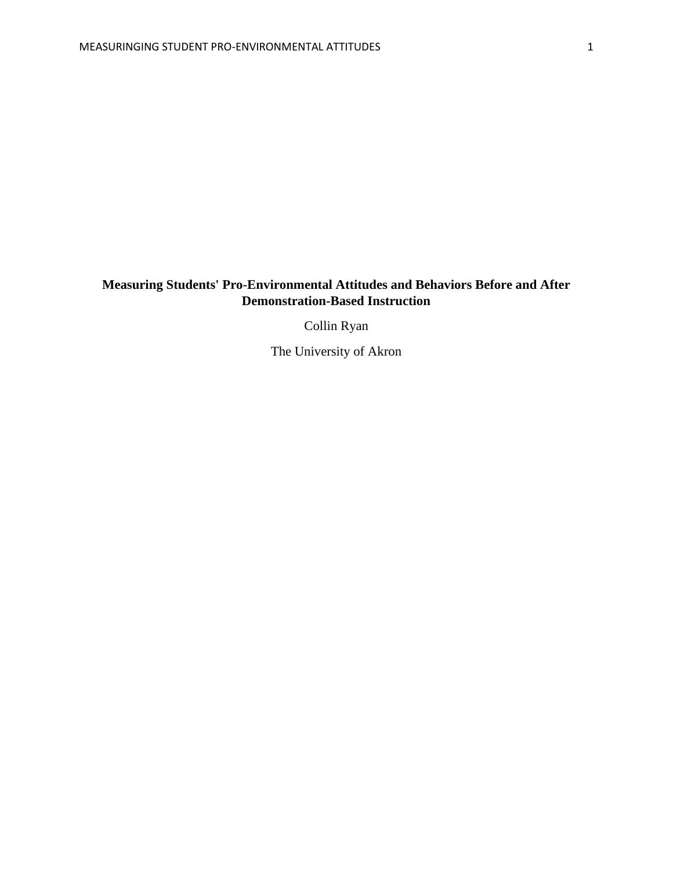### **Measuring Students' Pro-Environmental Attitudes and Behaviors Before and After Demonstration-Based Instruction**

Collin Ryan

The University of Akron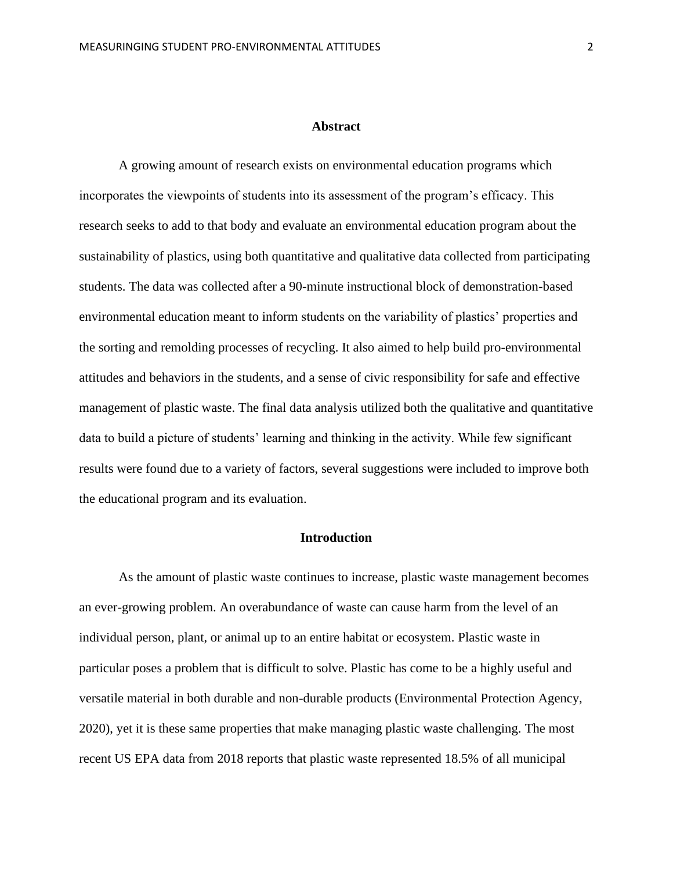#### **Abstract**

A growing amount of research exists on environmental education programs which incorporates the viewpoints of students into its assessment of the program's efficacy. This research seeks to add to that body and evaluate an environmental education program about the sustainability of plastics, using both quantitative and qualitative data collected from participating students. The data was collected after a 90-minute instructional block of demonstration-based environmental education meant to inform students on the variability of plastics' properties and the sorting and remolding processes of recycling. It also aimed to help build pro-environmental attitudes and behaviors in the students, and a sense of civic responsibility for safe and effective management of plastic waste. The final data analysis utilized both the qualitative and quantitative data to build a picture of students' learning and thinking in the activity. While few significant results were found due to a variety of factors, several suggestions were included to improve both the educational program and its evaluation.

### **Introduction**

As the amount of plastic waste continues to increase, plastic waste management becomes an ever-growing problem. An overabundance of waste can cause harm from the level of an individual person, plant, or animal up to an entire habitat or ecosystem. Plastic waste in particular poses a problem that is difficult to solve. Plastic has come to be a highly useful and versatile material in both durable and non-durable products (Environmental Protection Agency, 2020), yet it is these same properties that make managing plastic waste challenging. The most recent US EPA data from 2018 reports that plastic waste represented 18.5% of all municipal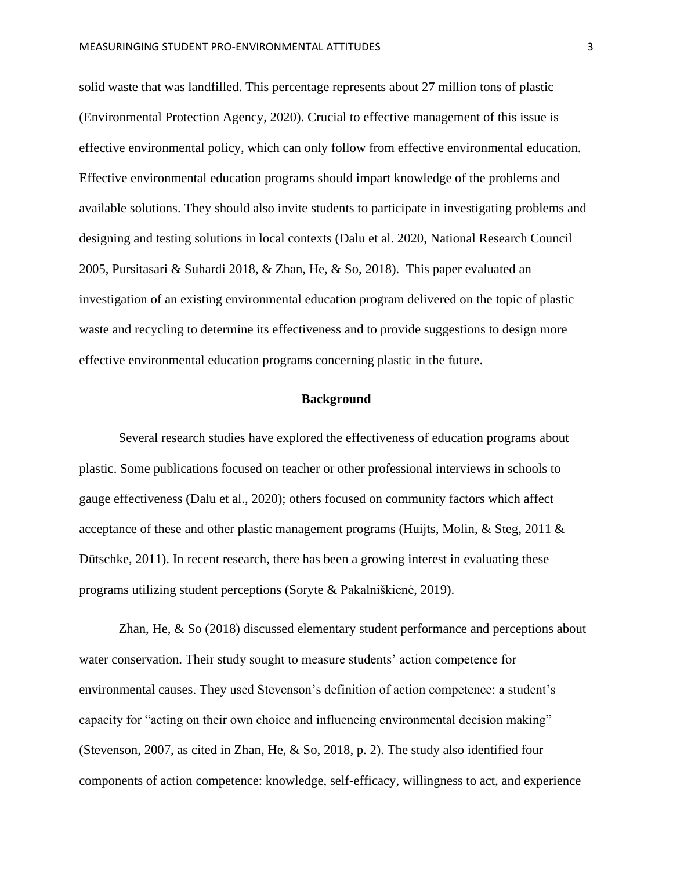solid waste that was landfilled. This percentage represents about 27 million tons of plastic (Environmental Protection Agency, 2020). Crucial to effective management of this issue is effective environmental policy, which can only follow from effective environmental education. Effective environmental education programs should impart knowledge of the problems and available solutions. They should also invite students to participate in investigating problems and designing and testing solutions in local contexts (Dalu et al. 2020, National Research Council 2005, Pursitasari & Suhardi 2018, & Zhan, He, & So, 2018). This paper evaluated an investigation of an existing environmental education program delivered on the topic of plastic waste and recycling to determine its effectiveness and to provide suggestions to design more effective environmental education programs concerning plastic in the future.

### **Background**

Several research studies have explored the effectiveness of education programs about plastic. Some publications focused on teacher or other professional interviews in schools to gauge effectiveness (Dalu et al., 2020); others focused on community factors which affect acceptance of these and other plastic management programs (Huijts, Molin, & Steg, 2011 & Dütschke, 2011). In recent research, there has been a growing interest in evaluating these programs utilizing student perceptions (Soryte & Pakalniškienė, 2019).

Zhan, He, & So (2018) discussed elementary student performance and perceptions about water conservation. Their study sought to measure students' action competence for environmental causes. They used Stevenson's definition of action competence: a student's capacity for "acting on their own choice and influencing environmental decision making" (Stevenson, 2007, as cited in Zhan, He, & So, 2018, p. 2). The study also identified four components of action competence: knowledge, self-efficacy, willingness to act, and experience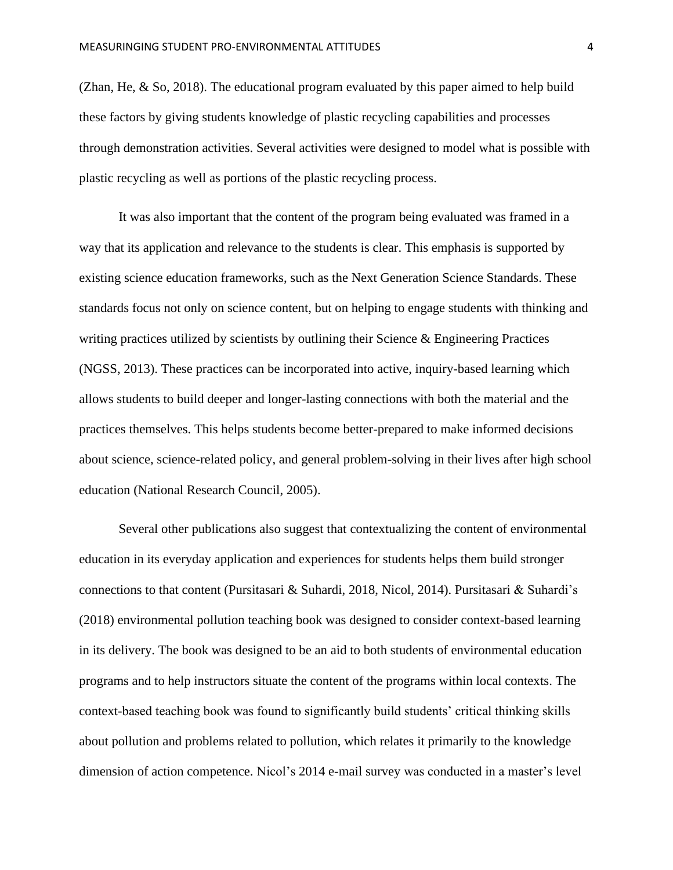(Zhan, He, & So, 2018). The educational program evaluated by this paper aimed to help build these factors by giving students knowledge of plastic recycling capabilities and processes through demonstration activities. Several activities were designed to model what is possible with plastic recycling as well as portions of the plastic recycling process.

It was also important that the content of the program being evaluated was framed in a way that its application and relevance to the students is clear. This emphasis is supported by existing science education frameworks, such as the Next Generation Science Standards. These standards focus not only on science content, but on helping to engage students with thinking and writing practices utilized by scientists by outlining their Science & Engineering Practices (NGSS, 2013). These practices can be incorporated into active, inquiry-based learning which allows students to build deeper and longer-lasting connections with both the material and the practices themselves. This helps students become better-prepared to make informed decisions about science, science-related policy, and general problem-solving in their lives after high school education (National Research Council, 2005).

Several other publications also suggest that contextualizing the content of environmental education in its everyday application and experiences for students helps them build stronger connections to that content (Pursitasari & Suhardi, 2018, Nicol, 2014). Pursitasari & Suhardi's (2018) environmental pollution teaching book was designed to consider context-based learning in its delivery. The book was designed to be an aid to both students of environmental education programs and to help instructors situate the content of the programs within local contexts. The context-based teaching book was found to significantly build students' critical thinking skills about pollution and problems related to pollution, which relates it primarily to the knowledge dimension of action competence. Nicol's 2014 e-mail survey was conducted in a master's level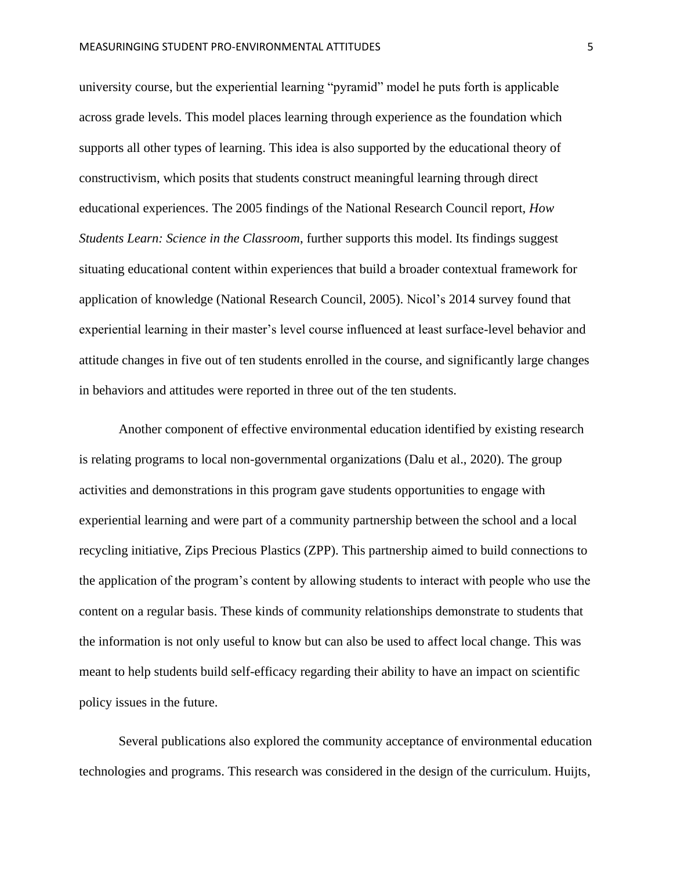university course, but the experiential learning "pyramid" model he puts forth is applicable across grade levels. This model places learning through experience as the foundation which supports all other types of learning. This idea is also supported by the educational theory of constructivism, which posits that students construct meaningful learning through direct educational experiences. The 2005 findings of the National Research Council report, *How Students Learn: Science in the Classroom*, further supports this model. Its findings suggest situating educational content within experiences that build a broader contextual framework for application of knowledge (National Research Council, 2005). Nicol's 2014 survey found that experiential learning in their master's level course influenced at least surface-level behavior and attitude changes in five out of ten students enrolled in the course, and significantly large changes in behaviors and attitudes were reported in three out of the ten students.

Another component of effective environmental education identified by existing research is relating programs to local non-governmental organizations (Dalu et al., 2020). The group activities and demonstrations in this program gave students opportunities to engage with experiential learning and were part of a community partnership between the school and a local recycling initiative, Zips Precious Plastics (ZPP). This partnership aimed to build connections to the application of the program's content by allowing students to interact with people who use the content on a regular basis. These kinds of community relationships demonstrate to students that the information is not only useful to know but can also be used to affect local change. This was meant to help students build self-efficacy regarding their ability to have an impact on scientific policy issues in the future.

Several publications also explored the community acceptance of environmental education technologies and programs. This research was considered in the design of the curriculum. Huijts,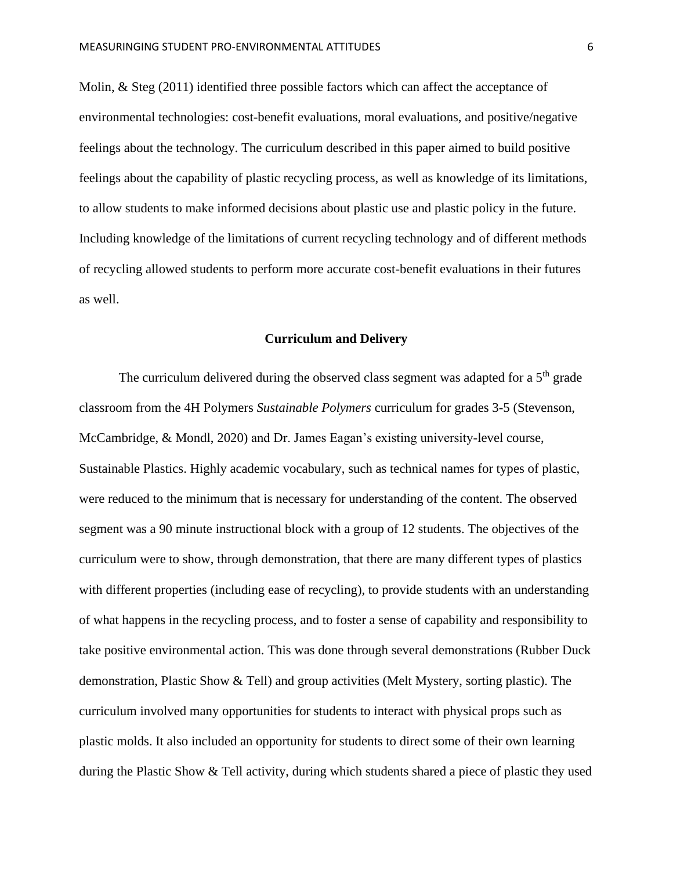Molin, & Steg (2011) identified three possible factors which can affect the acceptance of environmental technologies: cost-benefit evaluations, moral evaluations, and positive/negative feelings about the technology. The curriculum described in this paper aimed to build positive feelings about the capability of plastic recycling process, as well as knowledge of its limitations, to allow students to make informed decisions about plastic use and plastic policy in the future. Including knowledge of the limitations of current recycling technology and of different methods of recycling allowed students to perform more accurate cost-benefit evaluations in their futures as well.

### **Curriculum and Delivery**

The curriculum delivered during the observed class segment was adapted for a  $5<sup>th</sup>$  grade classroom from the 4H Polymers *Sustainable Polymers* curriculum for grades 3-5 (Stevenson, McCambridge, & Mondl, 2020) and Dr. James Eagan's existing university-level course, Sustainable Plastics. Highly academic vocabulary, such as technical names for types of plastic, were reduced to the minimum that is necessary for understanding of the content. The observed segment was a 90 minute instructional block with a group of 12 students. The objectives of the curriculum were to show, through demonstration, that there are many different types of plastics with different properties (including ease of recycling), to provide students with an understanding of what happens in the recycling process, and to foster a sense of capability and responsibility to take positive environmental action. This was done through several demonstrations (Rubber Duck demonstration, Plastic Show & Tell) and group activities (Melt Mystery, sorting plastic). The curriculum involved many opportunities for students to interact with physical props such as plastic molds. It also included an opportunity for students to direct some of their own learning during the Plastic Show & Tell activity, during which students shared a piece of plastic they used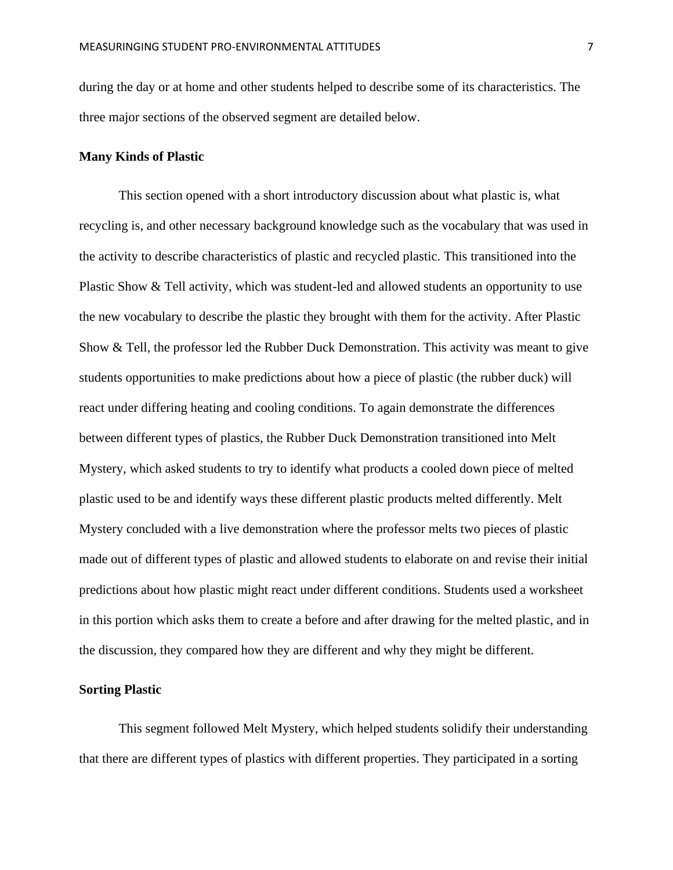during the day or at home and other students helped to describe some of its characteristics. The three major sections of the observed segment are detailed below.

### **Many Kinds of Plastic**

This section opened with a short introductory discussion about what plastic is, what recycling is, and other necessary background knowledge such as the vocabulary that was used in the activity to describe characteristics of plastic and recycled plastic. This transitioned into the Plastic Show & Tell activity, which was student-led and allowed students an opportunity to use the new vocabulary to describe the plastic they brought with them for the activity. After Plastic Show & Tell, the professor led the Rubber Duck Demonstration. This activity was meant to give students opportunities to make predictions about how a piece of plastic (the rubber duck) will react under differing heating and cooling conditions. To again demonstrate the differences between different types of plastics, the Rubber Duck Demonstration transitioned into Melt Mystery, which asked students to try to identify what products a cooled down piece of melted plastic used to be and identify ways these different plastic products melted differently. Melt Mystery concluded with a live demonstration where the professor melts two pieces of plastic made out of different types of plastic and allowed students to elaborate on and revise their initial predictions about how plastic might react under different conditions. Students used a worksheet in this portion which asks them to create a before and after drawing for the melted plastic, and in the discussion, they compared how they are different and why they might be different.

### **Sorting Plastic**

This segment followed Melt Mystery, which helped students solidify their understanding that there are different types of plastics with different properties. They participated in a sorting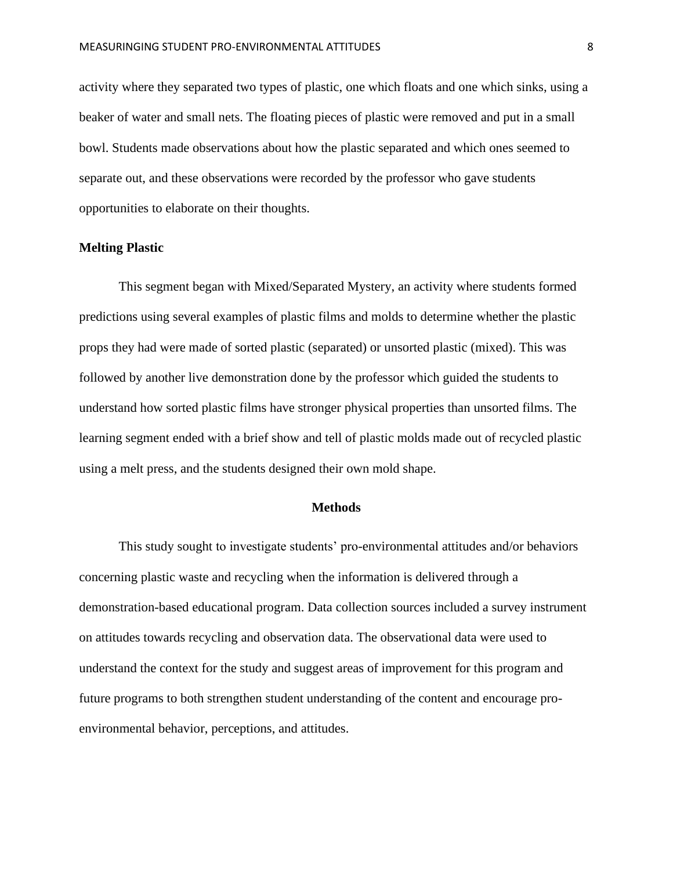activity where they separated two types of plastic, one which floats and one which sinks, using a beaker of water and small nets. The floating pieces of plastic were removed and put in a small bowl. Students made observations about how the plastic separated and which ones seemed to separate out, and these observations were recorded by the professor who gave students opportunities to elaborate on their thoughts.

### **Melting Plastic**

This segment began with Mixed/Separated Mystery, an activity where students formed predictions using several examples of plastic films and molds to determine whether the plastic props they had were made of sorted plastic (separated) or unsorted plastic (mixed). This was followed by another live demonstration done by the professor which guided the students to understand how sorted plastic films have stronger physical properties than unsorted films. The learning segment ended with a brief show and tell of plastic molds made out of recycled plastic using a melt press, and the students designed their own mold shape.

### **Methods**

This study sought to investigate students' pro-environmental attitudes and/or behaviors concerning plastic waste and recycling when the information is delivered through a demonstration-based educational program. Data collection sources included a survey instrument on attitudes towards recycling and observation data. The observational data were used to understand the context for the study and suggest areas of improvement for this program and future programs to both strengthen student understanding of the content and encourage proenvironmental behavior, perceptions, and attitudes.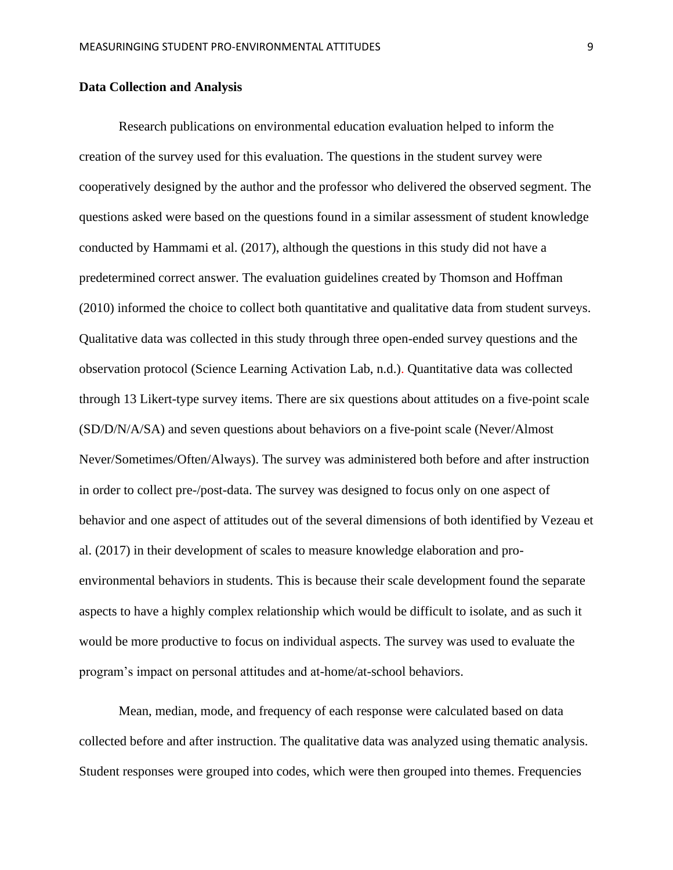### **Data Collection and Analysis**

Research publications on environmental education evaluation helped to inform the creation of the survey used for this evaluation. The questions in the student survey were cooperatively designed by the author and the professor who delivered the observed segment. The questions asked were based on the questions found in a similar assessment of student knowledge conducted by Hammami et al. (2017), although the questions in this study did not have a predetermined correct answer. The evaluation guidelines created by Thomson and Hoffman (2010) informed the choice to collect both quantitative and qualitative data from student surveys. Qualitative data was collected in this study through three open-ended survey questions and the observation protocol (Science Learning Activation Lab, n.d.). Quantitative data was collected through 13 Likert-type survey items. There are six questions about attitudes on a five-point scale (SD/D/N/A/SA) and seven questions about behaviors on a five-point scale (Never/Almost Never/Sometimes/Often/Always). The survey was administered both before and after instruction in order to collect pre-/post-data. The survey was designed to focus only on one aspect of behavior and one aspect of attitudes out of the several dimensions of both identified by Vezeau et al. (2017) in their development of scales to measure knowledge elaboration and proenvironmental behaviors in students. This is because their scale development found the separate aspects to have a highly complex relationship which would be difficult to isolate, and as such it would be more productive to focus on individual aspects. The survey was used to evaluate the program's impact on personal attitudes and at-home/at-school behaviors.

Mean, median, mode, and frequency of each response were calculated based on data collected before and after instruction. The qualitative data was analyzed using thematic analysis. Student responses were grouped into codes, which were then grouped into themes. Frequencies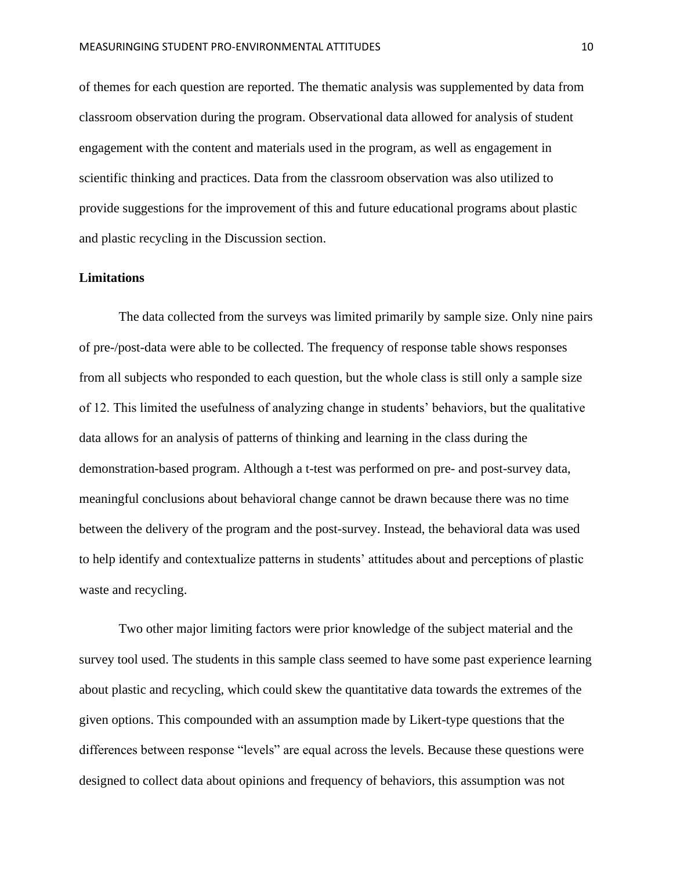of themes for each question are reported. The thematic analysis was supplemented by data from classroom observation during the program. Observational data allowed for analysis of student engagement with the content and materials used in the program, as well as engagement in scientific thinking and practices. Data from the classroom observation was also utilized to provide suggestions for the improvement of this and future educational programs about plastic and plastic recycling in the Discussion section.

#### **Limitations**

The data collected from the surveys was limited primarily by sample size. Only nine pairs of pre-/post-data were able to be collected. The frequency of response table shows responses from all subjects who responded to each question, but the whole class is still only a sample size of 12. This limited the usefulness of analyzing change in students' behaviors, but the qualitative data allows for an analysis of patterns of thinking and learning in the class during the demonstration-based program. Although a t-test was performed on pre- and post-survey data, meaningful conclusions about behavioral change cannot be drawn because there was no time between the delivery of the program and the post-survey. Instead, the behavioral data was used to help identify and contextualize patterns in students' attitudes about and perceptions of plastic waste and recycling.

Two other major limiting factors were prior knowledge of the subject material and the survey tool used. The students in this sample class seemed to have some past experience learning about plastic and recycling, which could skew the quantitative data towards the extremes of the given options. This compounded with an assumption made by Likert-type questions that the differences between response "levels" are equal across the levels. Because these questions were designed to collect data about opinions and frequency of behaviors, this assumption was not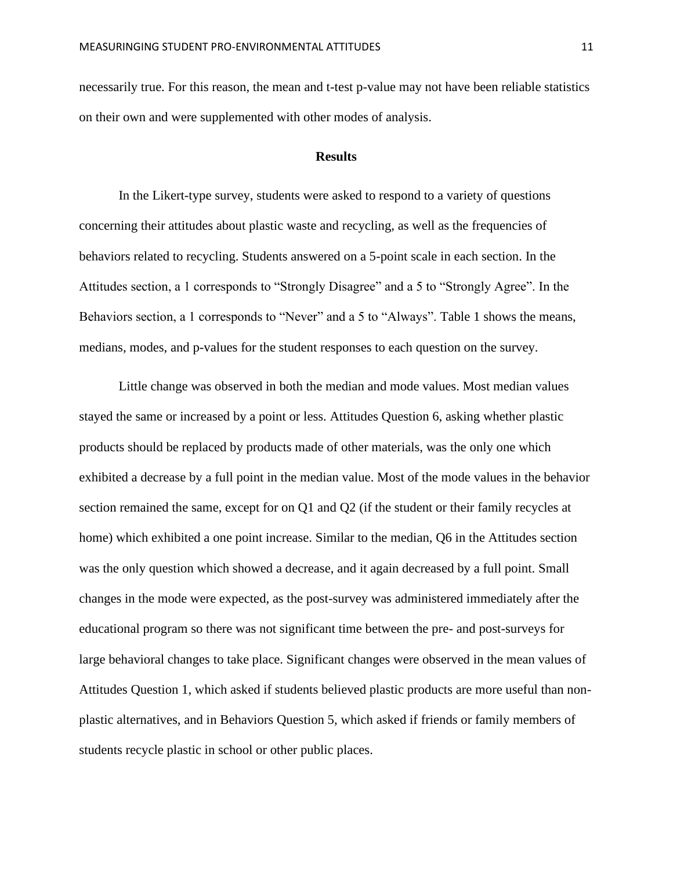necessarily true. For this reason, the mean and t-test p-value may not have been reliable statistics on their own and were supplemented with other modes of analysis.

#### **Results**

In the Likert-type survey, students were asked to respond to a variety of questions concerning their attitudes about plastic waste and recycling, as well as the frequencies of behaviors related to recycling. Students answered on a 5-point scale in each section. In the Attitudes section, a 1 corresponds to "Strongly Disagree" and a 5 to "Strongly Agree". In the Behaviors section, a 1 corresponds to "Never" and a 5 to "Always". Table 1 shows the means, medians, modes, and p-values for the student responses to each question on the survey.

Little change was observed in both the median and mode values. Most median values stayed the same or increased by a point or less. Attitudes Question 6, asking whether plastic products should be replaced by products made of other materials, was the only one which exhibited a decrease by a full point in the median value. Most of the mode values in the behavior section remained the same, except for on Q1 and Q2 (if the student or their family recycles at home) which exhibited a one point increase. Similar to the median, Q6 in the Attitudes section was the only question which showed a decrease, and it again decreased by a full point. Small changes in the mode were expected, as the post-survey was administered immediately after the educational program so there was not significant time between the pre- and post-surveys for large behavioral changes to take place. Significant changes were observed in the mean values of Attitudes Question 1, which asked if students believed plastic products are more useful than nonplastic alternatives, and in Behaviors Question 5, which asked if friends or family members of students recycle plastic in school or other public places.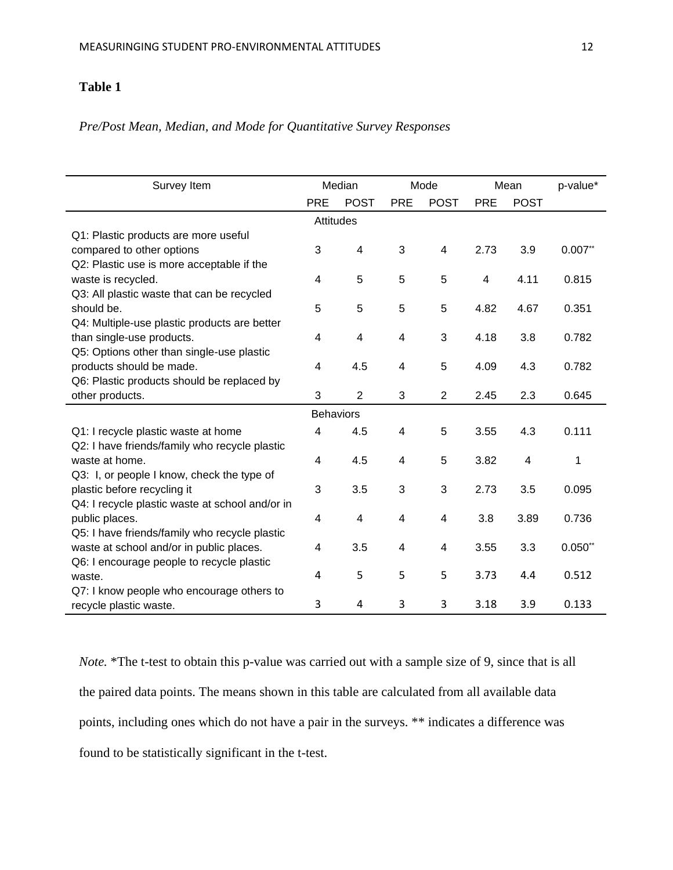### **Table 1**

### *Pre/Post Mean, Median, and Mode for Quantitative Survey Responses*

| Survey Item                                                         | Median           |                |                         | Mode           |                         | Mean        | p-value*  |
|---------------------------------------------------------------------|------------------|----------------|-------------------------|----------------|-------------------------|-------------|-----------|
|                                                                     | <b>PRE</b>       | <b>POST</b>    | <b>PRE</b>              | <b>POST</b>    | <b>PRE</b>              | <b>POST</b> |           |
|                                                                     | Attitudes        |                |                         |                |                         |             |           |
| Q1: Plastic products are more useful                                |                  |                |                         |                |                         |             |           |
| compared to other options                                           | 3                | 4              | 3                       | 4              | 2.73                    | 3.9         | $0.007**$ |
| Q2: Plastic use is more acceptable if the                           |                  |                |                         |                |                         |             |           |
| waste is recycled.                                                  | 4                | 5              | 5                       | 5              | $\overline{\mathbf{4}}$ | 4.11        | 0.815     |
| Q3: All plastic waste that can be recycled                          |                  |                |                         |                |                         |             |           |
| should be.                                                          | 5                | 5              | 5                       | 5              | 4.82                    | 4.67        | 0.351     |
| Q4: Multiple-use plastic products are better                        |                  |                |                         |                |                         |             |           |
| than single-use products.                                           | 4                | 4              | 4                       | 3              | 4.18                    | 3.8         | 0.782     |
| Q5: Options other than single-use plastic                           |                  |                |                         |                |                         |             |           |
| products should be made.                                            | 4                | 4.5            | 4                       | 5              | 4.09                    | 4.3         | 0.782     |
| Q6: Plastic products should be replaced by                          |                  |                |                         |                |                         |             |           |
| other products.                                                     | 3                | $\overline{2}$ | 3                       | $\overline{2}$ | 2.45                    | 2.3         | 0.645     |
|                                                                     | <b>Behaviors</b> |                |                         |                |                         |             |           |
| Q1: I recycle plastic waste at home                                 | 4                | 4.5            | $\overline{\mathbf{4}}$ | 5              | 3.55                    | 4.3         | 0.111     |
| Q2: I have friends/family who recycle plastic                       |                  |                |                         |                |                         |             |           |
| waste at home.                                                      | 4                | 4.5            | 4                       | 5              | 3.82                    | 4           | 1         |
| Q3: I, or people I know, check the type of                          |                  |                |                         |                |                         |             |           |
| plastic before recycling it                                         | 3                | 3.5            | 3                       | 3              | 2.73                    | 3.5         | 0.095     |
| Q4: I recycle plastic waste at school and/or in                     |                  |                |                         |                |                         |             |           |
| public places.                                                      | $\overline{4}$   | $\overline{4}$ | 4                       | 4              | 3.8                     | 3.89        | 0.736     |
| Q5: I have friends/family who recycle plastic                       |                  |                |                         |                |                         |             |           |
| waste at school and/or in public places.                            | 4                | 3.5            | 4                       | 4              | 3.55                    | 3.3         | $0.050**$ |
| Q6: I encourage people to recycle plastic                           |                  |                |                         | 5              |                         |             |           |
| waste.                                                              | 4                | 5              | 5                       |                | 3.73                    | 4.4         | 0.512     |
| Q7: I know people who encourage others to<br>recycle plastic waste. | 3                | 4              | 3                       | 3              | 3.18                    | 3.9         | 0.133     |

*Note.* \*The t-test to obtain this p-value was carried out with a sample size of 9, since that is all the paired data points. The means shown in this table are calculated from all available data points, including ones which do not have a pair in the surveys. \*\* indicates a difference was found to be statistically significant in the t-test.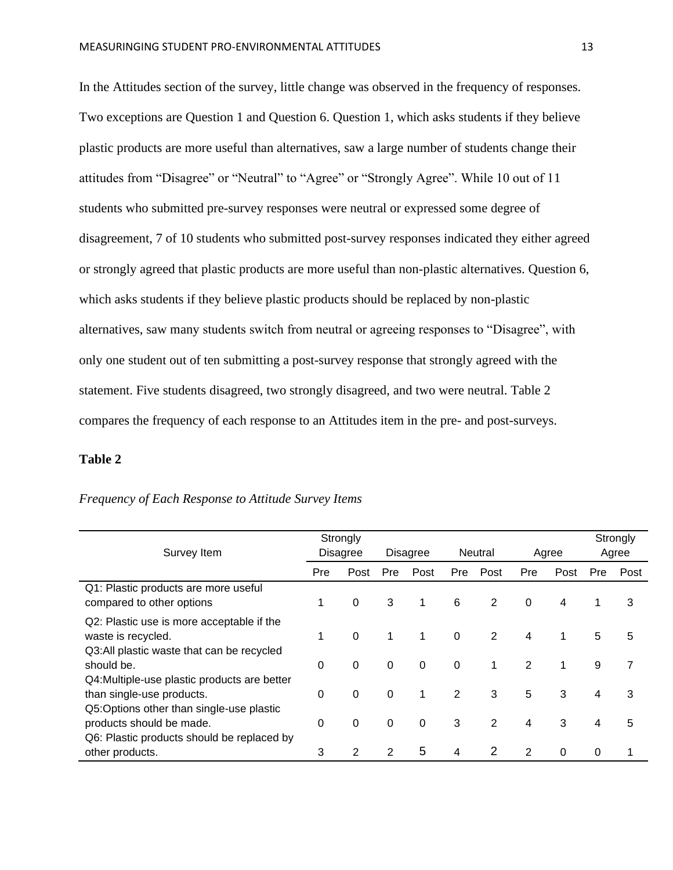In the Attitudes section of the survey, little change was observed in the frequency of responses. Two exceptions are Question 1 and Question 6. Question 1, which asks students if they believe plastic products are more useful than alternatives, saw a large number of students change their attitudes from "Disagree" or "Neutral" to "Agree" or "Strongly Agree". While 10 out of 11 students who submitted pre-survey responses were neutral or expressed some degree of disagreement, 7 of 10 students who submitted post-survey responses indicated they either agreed or strongly agreed that plastic products are more useful than non-plastic alternatives. Question 6, which asks students if they believe plastic products should be replaced by non-plastic alternatives, saw many students switch from neutral or agreeing responses to "Disagree", with only one student out of ten submitting a post-survey response that strongly agreed with the statement. Five students disagreed, two strongly disagreed, and two were neutral. Table 2 compares the frequency of each response to an Attitudes item in the pre- and post-surveys.

### **Table 2**

| Survey Item                                                                                                        |          | Strongly<br><b>Disagree</b> |              | <b>Disagree</b> |                | <b>Neutral</b> |             | Agree       |     | Strongly<br>Agree |
|--------------------------------------------------------------------------------------------------------------------|----------|-----------------------------|--------------|-----------------|----------------|----------------|-------------|-------------|-----|-------------------|
|                                                                                                                    | Pre      | Post                        | Pre          | Post            | Pre            | Post           | Pre         | Post        | Pre | Post              |
| Q1: Plastic products are more useful<br>compared to other options                                                  | 1        | 0                           | 3            | 1               | 6              | 2              | $\mathbf 0$ | 4           | 1   | 3                 |
| Q2: Plastic use is more acceptable if the<br>waste is recycled.<br>Q3:All plastic waste that can be recycled       | 1        | $\mathbf{0}$                | 1            | 1               | $\Omega$       | 2              | 4           | 1           | 5   | 5                 |
| should be.<br>Q4: Multiple-use plastic products are better                                                         | $\Omega$ | 0                           | $\mathbf{0}$ | $\Omega$        | $\Omega$       | 1              | 2           | $\mathbf 1$ | 9   | 7                 |
| than single-use products.                                                                                          | $\Omega$ | 0                           | $\mathbf{0}$ | 1               | $\overline{2}$ | 3              | 5           | 3           | 4   | 3                 |
| Q5:Options other than single-use plastic<br>products should be made.<br>Q6: Plastic products should be replaced by | $\Omega$ | $\mathbf 0$                 | $\Omega$     | 0               | 3              | $\overline{2}$ | 4           | 3           | 4   | 5                 |
| other products.                                                                                                    | 3        | 2                           | 2            | 5               | 4              | $\overline{2}$ | 2           | 0           | 0   | 1                 |

### *Frequency of Each Response to Attitude Survey Items*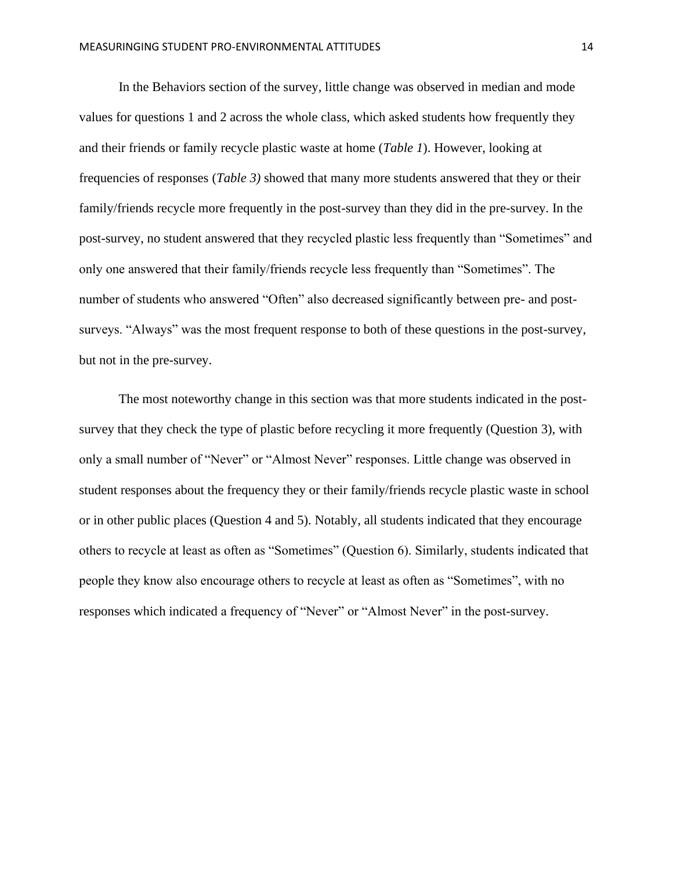In the Behaviors section of the survey, little change was observed in median and mode values for questions 1 and 2 across the whole class, which asked students how frequently they and their friends or family recycle plastic waste at home (*Table 1*). However, looking at frequencies of responses (*Table 3)* showed that many more students answered that they or their family/friends recycle more frequently in the post-survey than they did in the pre-survey. In the post-survey, no student answered that they recycled plastic less frequently than "Sometimes" and only one answered that their family/friends recycle less frequently than "Sometimes". The number of students who answered "Often" also decreased significantly between pre- and postsurveys. "Always" was the most frequent response to both of these questions in the post-survey, but not in the pre-survey.

The most noteworthy change in this section was that more students indicated in the postsurvey that they check the type of plastic before recycling it more frequently (Question 3), with only a small number of "Never" or "Almost Never" responses. Little change was observed in student responses about the frequency they or their family/friends recycle plastic waste in school or in other public places (Question 4 and 5). Notably, all students indicated that they encourage others to recycle at least as often as "Sometimes" (Question 6). Similarly, students indicated that people they know also encourage others to recycle at least as often as "Sometimes", with no responses which indicated a frequency of "Never" or "Almost Never" in the post-survey.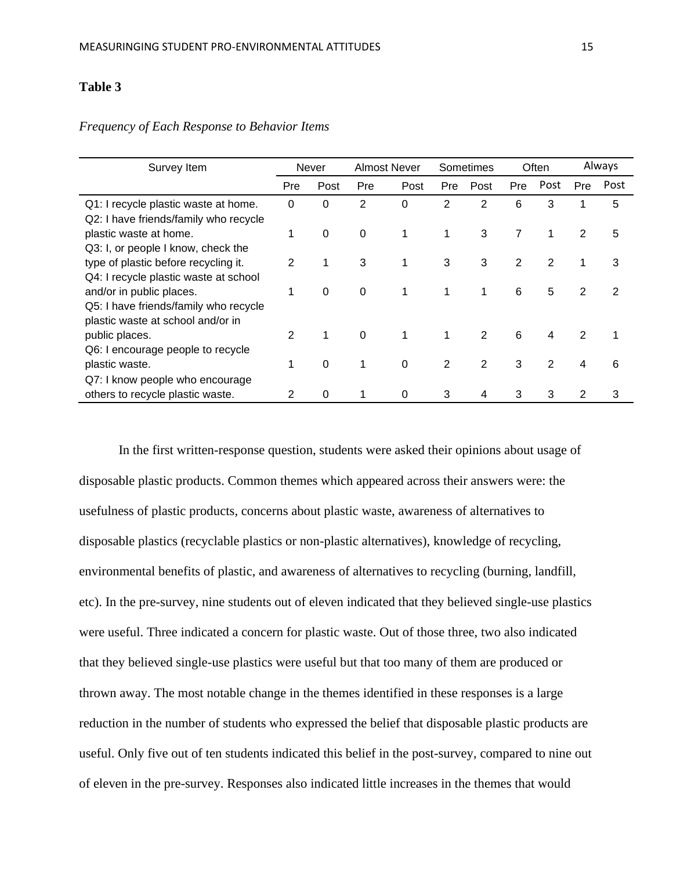### **Table 3**

| Survey Item                           | Never |      | <b>Almost Never</b> |          | Sometimes      |                | Often |                | Always |                |
|---------------------------------------|-------|------|---------------------|----------|----------------|----------------|-------|----------------|--------|----------------|
|                                       | Pre   | Post | Pre                 | Post     | Pre            | Post           | Pre   | Post           | Pre    | Post           |
| Q1: I recycle plastic waste at home.  | 0     | 0    | 2                   | 0        | 2              | 2              | 6     | 3              | 1      | 5              |
| Q2: I have friends/family who recycle |       |      |                     |          |                |                |       |                |        |                |
| plastic waste at home.                | 1     | 0    | 0                   | 1        | 1              | 3              | 7     | 1              | 2      | 5              |
| Q3: I, or people I know, check the    |       |      |                     |          |                |                |       |                |        |                |
| type of plastic before recycling it.  | 2     | 1    | 3                   | 1        | 3              | 3              | 2     | 2              | 1      | 3              |
| Q4: I recycle plastic waste at school |       |      |                     |          |                |                |       |                |        |                |
| and/or in public places.              | 1     | 0    | 0                   | 1        | 1              | 1              | 6     | 5              | 2      | $\overline{2}$ |
| Q5: I have friends/family who recycle |       |      |                     |          |                |                |       |                |        |                |
| plastic waste at school and/or in     |       |      |                     |          |                |                |       |                |        |                |
| public places.                        | 2     |      | 0                   | 1        | 1              | $\overline{2}$ | 6     | 4              | 2      | 1              |
| Q6: I encourage people to recycle     |       |      |                     |          |                |                |       |                |        |                |
| plastic waste.                        | 1     | 0    | 1                   | $\Omega$ | $\overline{2}$ | 2              | 3     | $\overline{2}$ | 4      | 6              |
| Q7: I know people who encourage       |       |      |                     |          |                |                |       |                |        |                |
| others to recycle plastic waste.      | 2     | 0    | 1                   | $\Omega$ | 3              | 4              | 3     | 3              | 2      | 3              |

### *Frequency of Each Response to Behavior Items*

In the first written-response question, students were asked their opinions about usage of disposable plastic products. Common themes which appeared across their answers were: the usefulness of plastic products, concerns about plastic waste, awareness of alternatives to disposable plastics (recyclable plastics or non-plastic alternatives), knowledge of recycling, environmental benefits of plastic, and awareness of alternatives to recycling (burning, landfill, etc). In the pre-survey, nine students out of eleven indicated that they believed single-use plastics were useful. Three indicated a concern for plastic waste. Out of those three, two also indicated that they believed single-use plastics were useful but that too many of them are produced or thrown away. The most notable change in the themes identified in these responses is a large reduction in the number of students who expressed the belief that disposable plastic products are useful. Only five out of ten students indicated this belief in the post-survey, compared to nine out of eleven in the pre-survey. Responses also indicated little increases in the themes that would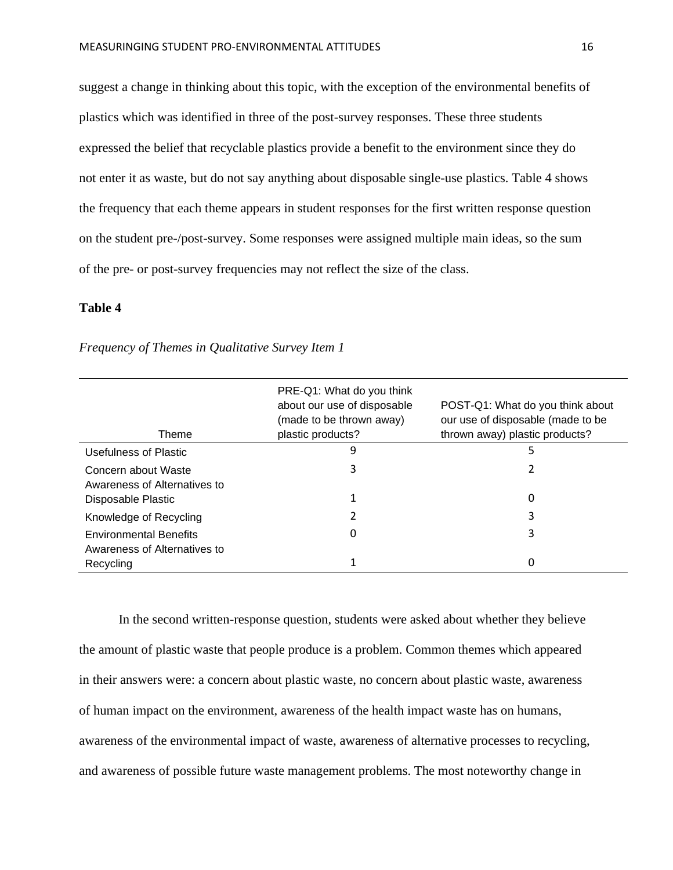suggest a change in thinking about this topic, with the exception of the environmental benefits of plastics which was identified in three of the post-survey responses. These three students expressed the belief that recyclable plastics provide a benefit to the environment since they do not enter it as waste, but do not say anything about disposable single-use plastics. Table 4 shows the frequency that each theme appears in student responses for the first written response question on the student pre-/post-survey. Some responses were assigned multiple main ideas, so the sum of the pre- or post-survey frequencies may not reflect the size of the class.

### **Table 4**

| Theme                                               | PRE-Q1: What do you think<br>about our use of disposable<br>(made to be thrown away)<br>plastic products? | POST-Q1: What do you think about<br>our use of disposable (made to be<br>thrown away) plastic products? |
|-----------------------------------------------------|-----------------------------------------------------------------------------------------------------------|---------------------------------------------------------------------------------------------------------|
| Usefulness of Plastic                               | 9                                                                                                         | 5                                                                                                       |
| Concern about Waste<br>Awareness of Alternatives to | 3                                                                                                         |                                                                                                         |
| Disposable Plastic                                  |                                                                                                           | 0                                                                                                       |
| Knowledge of Recycling                              |                                                                                                           | 3                                                                                                       |
| <b>Environmental Benefits</b>                       | Ω                                                                                                         | 3                                                                                                       |
| Awareness of Alternatives to                        |                                                                                                           |                                                                                                         |
| Recycling                                           |                                                                                                           | 0                                                                                                       |

*Frequency of Themes in Qualitative Survey Item 1*

In the second written-response question, students were asked about whether they believe the amount of plastic waste that people produce is a problem. Common themes which appeared in their answers were: a concern about plastic waste, no concern about plastic waste, awareness of human impact on the environment, awareness of the health impact waste has on humans, awareness of the environmental impact of waste, awareness of alternative processes to recycling, and awareness of possible future waste management problems. The most noteworthy change in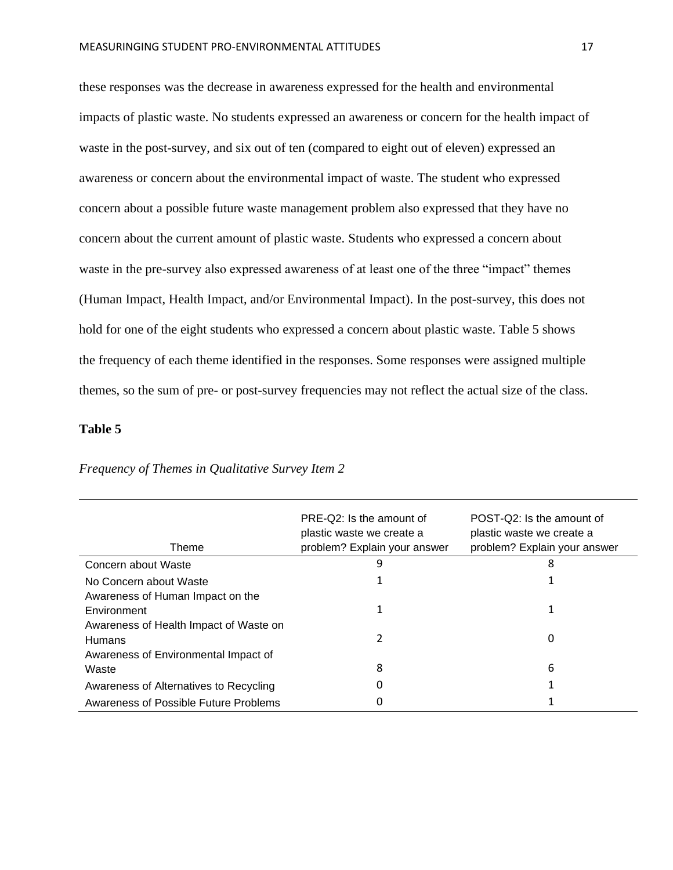these responses was the decrease in awareness expressed for the health and environmental impacts of plastic waste. No students expressed an awareness or concern for the health impact of waste in the post-survey, and six out of ten (compared to eight out of eleven) expressed an awareness or concern about the environmental impact of waste. The student who expressed concern about a possible future waste management problem also expressed that they have no concern about the current amount of plastic waste. Students who expressed a concern about waste in the pre-survey also expressed awareness of at least one of the three "impact" themes (Human Impact, Health Impact, and/or Environmental Impact). In the post-survey, this does not hold for one of the eight students who expressed a concern about plastic waste. Table 5 shows the frequency of each theme identified in the responses. Some responses were assigned multiple themes, so the sum of pre- or post-survey frequencies may not reflect the actual size of the class.

### **Table 5**

| Theme                                  | PRE-Q2: Is the amount of<br>plastic waste we create a<br>problem? Explain your answer | POST-Q2: Is the amount of<br>plastic waste we create a<br>problem? Explain your answer |
|----------------------------------------|---------------------------------------------------------------------------------------|----------------------------------------------------------------------------------------|
| Concern about Waste                    | 9                                                                                     | 8                                                                                      |
| No Concern about Waste                 |                                                                                       |                                                                                        |
| Awareness of Human Impact on the       |                                                                                       |                                                                                        |
| Environment                            | 1                                                                                     |                                                                                        |
| Awareness of Health Impact of Waste on |                                                                                       |                                                                                        |
| <b>Humans</b>                          |                                                                                       | 0                                                                                      |
| Awareness of Environmental Impact of   |                                                                                       |                                                                                        |
| Waste                                  | 8                                                                                     | 6                                                                                      |
| Awareness of Alternatives to Recycling | 0                                                                                     |                                                                                        |
| Awareness of Possible Future Problems  | 0                                                                                     |                                                                                        |

### *Frequency of Themes in Qualitative Survey Item 2*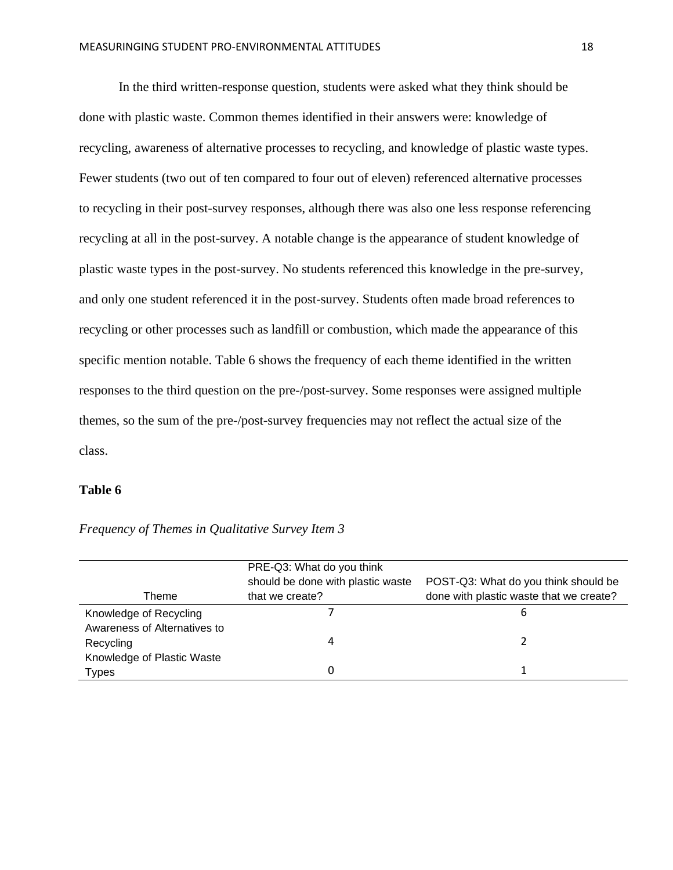In the third written-response question, students were asked what they think should be done with plastic waste. Common themes identified in their answers were: knowledge of recycling, awareness of alternative processes to recycling, and knowledge of plastic waste types. Fewer students (two out of ten compared to four out of eleven) referenced alternative processes to recycling in their post-survey responses, although there was also one less response referencing recycling at all in the post-survey. A notable change is the appearance of student knowledge of plastic waste types in the post-survey. No students referenced this knowledge in the pre-survey, and only one student referenced it in the post-survey. Students often made broad references to recycling or other processes such as landfill or combustion, which made the appearance of this specific mention notable. Table 6 shows the frequency of each theme identified in the written responses to the third question on the pre-/post-survey. Some responses were assigned multiple themes, so the sum of the pre-/post-survey frequencies may not reflect the actual size of the class.

### **Table 6**

|                              | PRE-Q3: What do you think         |                                         |
|------------------------------|-----------------------------------|-----------------------------------------|
|                              | should be done with plastic waste | POST-Q3: What do you think should be    |
| Theme                        | that we create?                   | done with plastic waste that we create? |
| Knowledge of Recycling       |                                   | ь                                       |
| Awareness of Alternatives to |                                   |                                         |
| Recycling                    | 4                                 |                                         |
| Knowledge of Plastic Waste   |                                   |                                         |
| Types                        | 0                                 |                                         |

*Frequency of Themes in Qualitative Survey Item 3*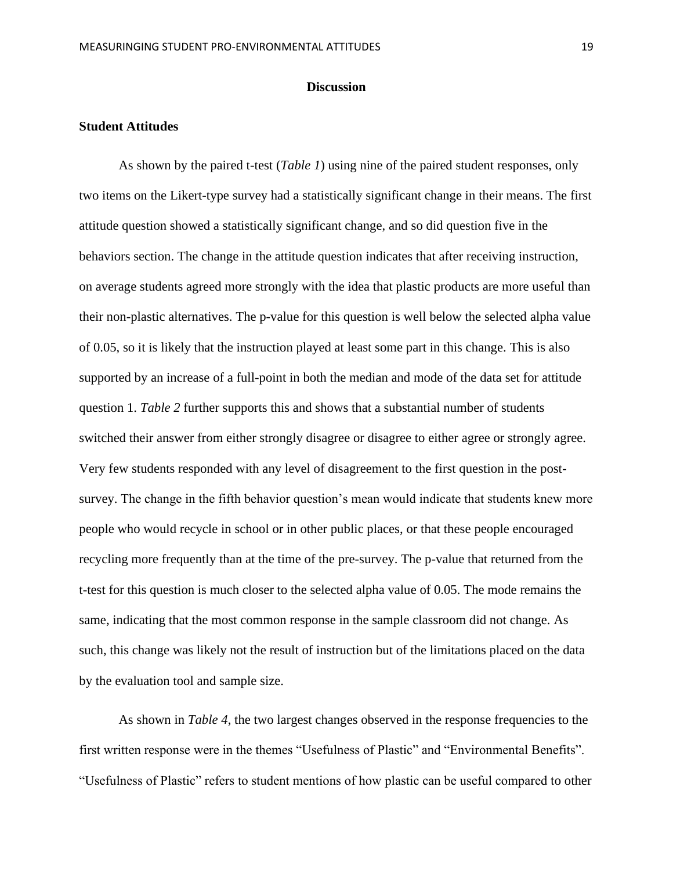### **Discussion**

### **Student Attitudes**

As shown by the paired t-test (*Table 1*) using nine of the paired student responses, only two items on the Likert-type survey had a statistically significant change in their means. The first attitude question showed a statistically significant change, and so did question five in the behaviors section. The change in the attitude question indicates that after receiving instruction, on average students agreed more strongly with the idea that plastic products are more useful than their non-plastic alternatives. The p-value for this question is well below the selected alpha value of 0.05, so it is likely that the instruction played at least some part in this change. This is also supported by an increase of a full-point in both the median and mode of the data set for attitude question 1. *Table 2* further supports this and shows that a substantial number of students switched their answer from either strongly disagree or disagree to either agree or strongly agree. Very few students responded with any level of disagreement to the first question in the postsurvey. The change in the fifth behavior question's mean would indicate that students knew more people who would recycle in school or in other public places, or that these people encouraged recycling more frequently than at the time of the pre-survey. The p-value that returned from the t-test for this question is much closer to the selected alpha value of 0.05. The mode remains the same, indicating that the most common response in the sample classroom did not change. As such, this change was likely not the result of instruction but of the limitations placed on the data by the evaluation tool and sample size.

As shown in *Table 4*, the two largest changes observed in the response frequencies to the first written response were in the themes "Usefulness of Plastic" and "Environmental Benefits". "Usefulness of Plastic" refers to student mentions of how plastic can be useful compared to other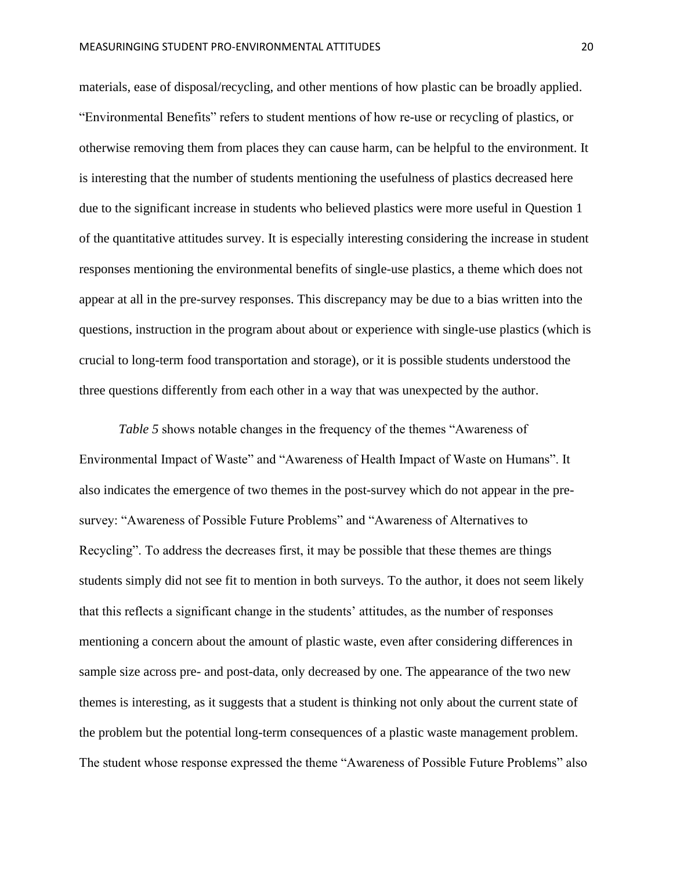materials, ease of disposal/recycling, and other mentions of how plastic can be broadly applied. "Environmental Benefits" refers to student mentions of how re-use or recycling of plastics, or otherwise removing them from places they can cause harm, can be helpful to the environment. It is interesting that the number of students mentioning the usefulness of plastics decreased here due to the significant increase in students who believed plastics were more useful in Question 1 of the quantitative attitudes survey. It is especially interesting considering the increase in student responses mentioning the environmental benefits of single-use plastics, a theme which does not appear at all in the pre-survey responses. This discrepancy may be due to a bias written into the questions, instruction in the program about about or experience with single-use plastics (which is crucial to long-term food transportation and storage), or it is possible students understood the three questions differently from each other in a way that was unexpected by the author.

*Table 5* shows notable changes in the frequency of the themes "Awareness of Environmental Impact of Waste" and "Awareness of Health Impact of Waste on Humans". It also indicates the emergence of two themes in the post-survey which do not appear in the presurvey: "Awareness of Possible Future Problems" and "Awareness of Alternatives to Recycling". To address the decreases first, it may be possible that these themes are things students simply did not see fit to mention in both surveys. To the author, it does not seem likely that this reflects a significant change in the students' attitudes, as the number of responses mentioning a concern about the amount of plastic waste, even after considering differences in sample size across pre- and post-data, only decreased by one. The appearance of the two new themes is interesting, as it suggests that a student is thinking not only about the current state of the problem but the potential long-term consequences of a plastic waste management problem. The student whose response expressed the theme "Awareness of Possible Future Problems" also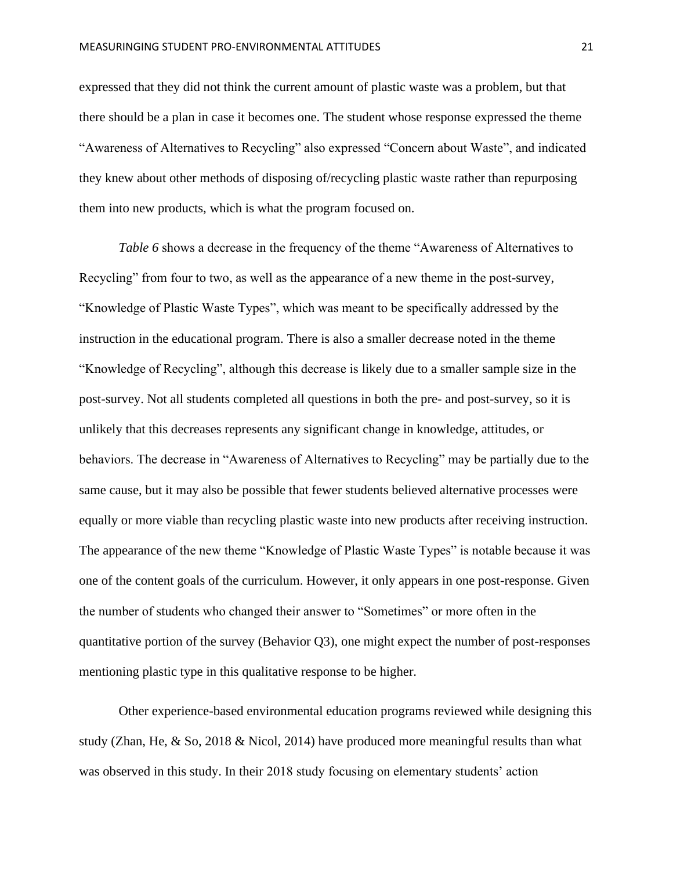expressed that they did not think the current amount of plastic waste was a problem, but that there should be a plan in case it becomes one. The student whose response expressed the theme "Awareness of Alternatives to Recycling" also expressed "Concern about Waste", and indicated they knew about other methods of disposing of/recycling plastic waste rather than repurposing them into new products, which is what the program focused on.

*Table 6* shows a decrease in the frequency of the theme "Awareness of Alternatives to Recycling" from four to two, as well as the appearance of a new theme in the post-survey, "Knowledge of Plastic Waste Types", which was meant to be specifically addressed by the instruction in the educational program. There is also a smaller decrease noted in the theme "Knowledge of Recycling", although this decrease is likely due to a smaller sample size in the post-survey. Not all students completed all questions in both the pre- and post-survey, so it is unlikely that this decreases represents any significant change in knowledge, attitudes, or behaviors. The decrease in "Awareness of Alternatives to Recycling" may be partially due to the same cause, but it may also be possible that fewer students believed alternative processes were equally or more viable than recycling plastic waste into new products after receiving instruction. The appearance of the new theme "Knowledge of Plastic Waste Types" is notable because it was one of the content goals of the curriculum. However, it only appears in one post-response. Given the number of students who changed their answer to "Sometimes" or more often in the quantitative portion of the survey (Behavior Q3), one might expect the number of post-responses mentioning plastic type in this qualitative response to be higher.

Other experience-based environmental education programs reviewed while designing this study (Zhan, He, & So, 2018 & Nicol, 2014) have produced more meaningful results than what was observed in this study. In their 2018 study focusing on elementary students' action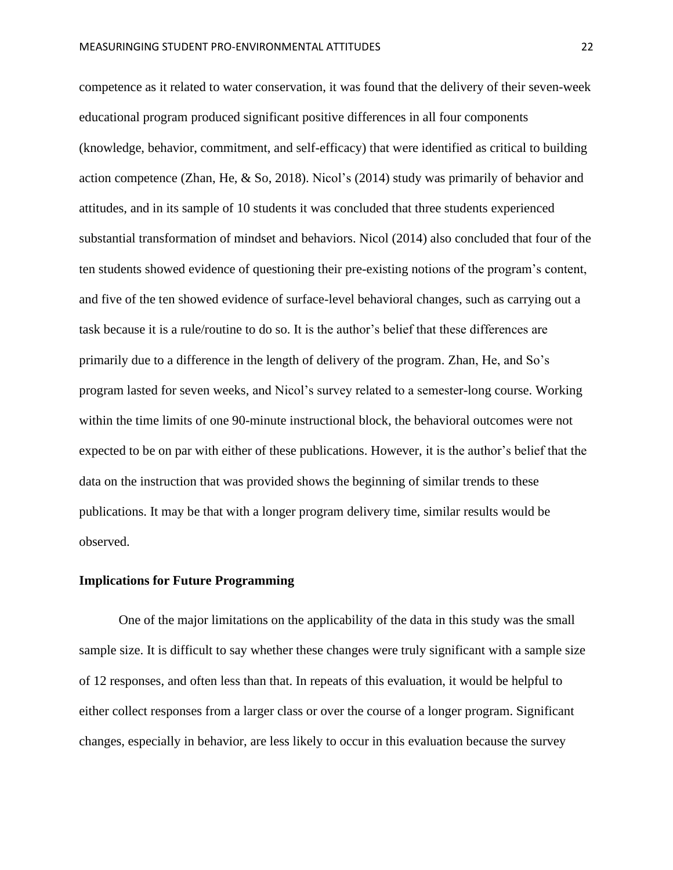competence as it related to water conservation, it was found that the delivery of their seven-week educational program produced significant positive differences in all four components (knowledge, behavior, commitment, and self-efficacy) that were identified as critical to building action competence (Zhan, He, & So, 2018). Nicol's (2014) study was primarily of behavior and attitudes, and in its sample of 10 students it was concluded that three students experienced substantial transformation of mindset and behaviors. Nicol (2014) also concluded that four of the ten students showed evidence of questioning their pre-existing notions of the program's content, and five of the ten showed evidence of surface-level behavioral changes, such as carrying out a task because it is a rule/routine to do so. It is the author's belief that these differences are primarily due to a difference in the length of delivery of the program. Zhan, He, and So's program lasted for seven weeks, and Nicol's survey related to a semester-long course. Working within the time limits of one 90-minute instructional block, the behavioral outcomes were not expected to be on par with either of these publications. However, it is the author's belief that the data on the instruction that was provided shows the beginning of similar trends to these publications. It may be that with a longer program delivery time, similar results would be observed.

### **Implications for Future Programming**

One of the major limitations on the applicability of the data in this study was the small sample size. It is difficult to say whether these changes were truly significant with a sample size of 12 responses, and often less than that. In repeats of this evaluation, it would be helpful to either collect responses from a larger class or over the course of a longer program. Significant changes, especially in behavior, are less likely to occur in this evaluation because the survey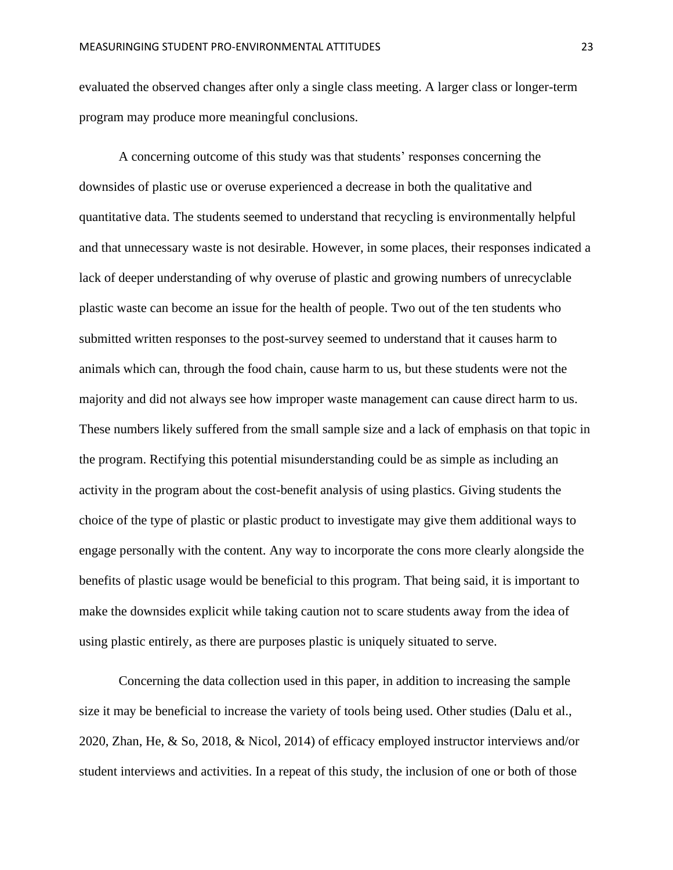evaluated the observed changes after only a single class meeting. A larger class or longer-term program may produce more meaningful conclusions.

A concerning outcome of this study was that students' responses concerning the downsides of plastic use or overuse experienced a decrease in both the qualitative and quantitative data. The students seemed to understand that recycling is environmentally helpful and that unnecessary waste is not desirable. However, in some places, their responses indicated a lack of deeper understanding of why overuse of plastic and growing numbers of unrecyclable plastic waste can become an issue for the health of people. Two out of the ten students who submitted written responses to the post-survey seemed to understand that it causes harm to animals which can, through the food chain, cause harm to us, but these students were not the majority and did not always see how improper waste management can cause direct harm to us. These numbers likely suffered from the small sample size and a lack of emphasis on that topic in the program. Rectifying this potential misunderstanding could be as simple as including an activity in the program about the cost-benefit analysis of using plastics. Giving students the choice of the type of plastic or plastic product to investigate may give them additional ways to engage personally with the content. Any way to incorporate the cons more clearly alongside the benefits of plastic usage would be beneficial to this program. That being said, it is important to make the downsides explicit while taking caution not to scare students away from the idea of using plastic entirely, as there are purposes plastic is uniquely situated to serve.

Concerning the data collection used in this paper, in addition to increasing the sample size it may be beneficial to increase the variety of tools being used. Other studies (Dalu et al., 2020, Zhan, He, & So, 2018, & Nicol, 2014) of efficacy employed instructor interviews and/or student interviews and activities. In a repeat of this study, the inclusion of one or both of those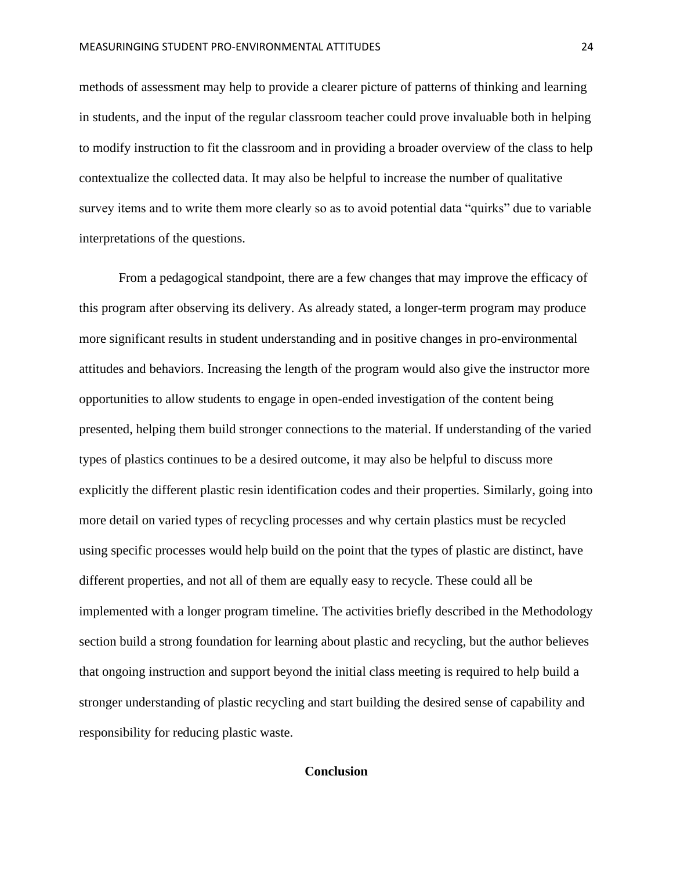methods of assessment may help to provide a clearer picture of patterns of thinking and learning in students, and the input of the regular classroom teacher could prove invaluable both in helping to modify instruction to fit the classroom and in providing a broader overview of the class to help contextualize the collected data. It may also be helpful to increase the number of qualitative survey items and to write them more clearly so as to avoid potential data "quirks" due to variable interpretations of the questions.

From a pedagogical standpoint, there are a few changes that may improve the efficacy of this program after observing its delivery. As already stated, a longer-term program may produce more significant results in student understanding and in positive changes in pro-environmental attitudes and behaviors. Increasing the length of the program would also give the instructor more opportunities to allow students to engage in open-ended investigation of the content being presented, helping them build stronger connections to the material. If understanding of the varied types of plastics continues to be a desired outcome, it may also be helpful to discuss more explicitly the different plastic resin identification codes and their properties. Similarly, going into more detail on varied types of recycling processes and why certain plastics must be recycled using specific processes would help build on the point that the types of plastic are distinct, have different properties, and not all of them are equally easy to recycle. These could all be implemented with a longer program timeline. The activities briefly described in the Methodology section build a strong foundation for learning about plastic and recycling, but the author believes that ongoing instruction and support beyond the initial class meeting is required to help build a stronger understanding of plastic recycling and start building the desired sense of capability and responsibility for reducing plastic waste.

### **Conclusion**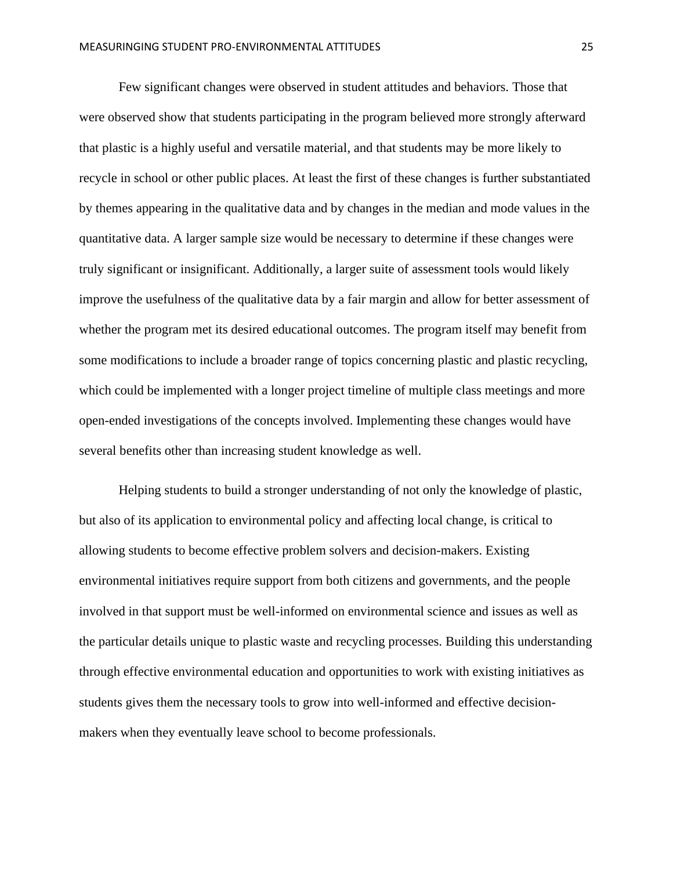Few significant changes were observed in student attitudes and behaviors. Those that were observed show that students participating in the program believed more strongly afterward that plastic is a highly useful and versatile material, and that students may be more likely to recycle in school or other public places. At least the first of these changes is further substantiated by themes appearing in the qualitative data and by changes in the median and mode values in the quantitative data. A larger sample size would be necessary to determine if these changes were truly significant or insignificant. Additionally, a larger suite of assessment tools would likely improve the usefulness of the qualitative data by a fair margin and allow for better assessment of whether the program met its desired educational outcomes. The program itself may benefit from some modifications to include a broader range of topics concerning plastic and plastic recycling, which could be implemented with a longer project timeline of multiple class meetings and more open-ended investigations of the concepts involved. Implementing these changes would have several benefits other than increasing student knowledge as well.

Helping students to build a stronger understanding of not only the knowledge of plastic, but also of its application to environmental policy and affecting local change, is critical to allowing students to become effective problem solvers and decision-makers. Existing environmental initiatives require support from both citizens and governments, and the people involved in that support must be well-informed on environmental science and issues as well as the particular details unique to plastic waste and recycling processes. Building this understanding through effective environmental education and opportunities to work with existing initiatives as students gives them the necessary tools to grow into well-informed and effective decisionmakers when they eventually leave school to become professionals.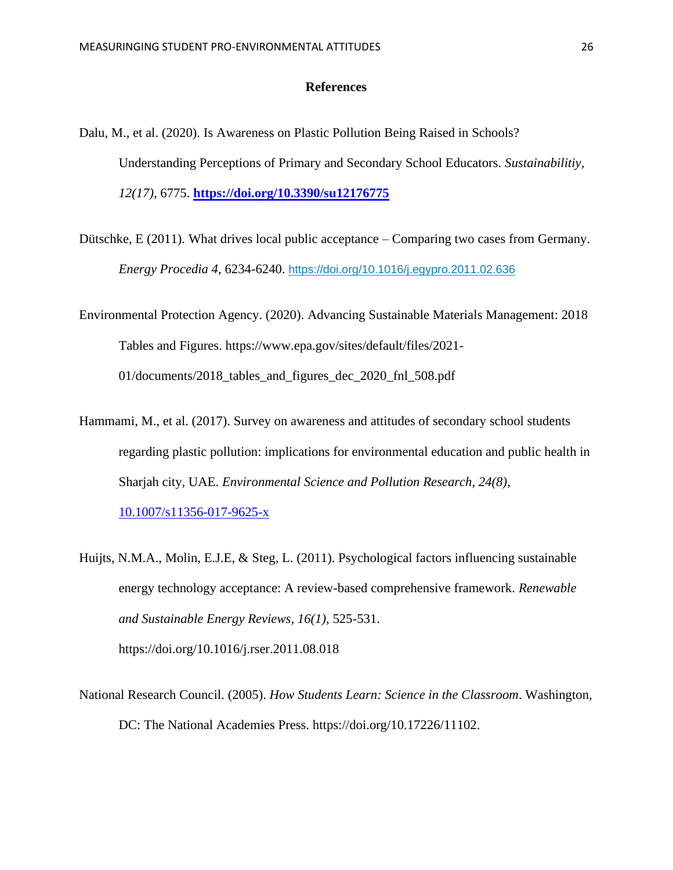### **References**

- Dalu, M., et al. (2020). Is Awareness on Plastic Pollution Being Raised in Schools? Understanding Perceptions of Primary and Secondary School Educators. *Sustainabilitiy, 12(17),* 6775. **<https://doi.org/10.3390/su12176775>**
- Dütschke, E (2011). What drives local public acceptance Comparing two cases from Germany. *Energy Procedia 4,* 6234-6240. <https://doi.org/10.1016/j.egypro.2011.02.636>
- Environmental Protection Agency. (2020). Advancing Sustainable Materials Management: 2018 Tables and Figures. https://www.epa.gov/sites/default/files/2021- 01/documents/2018\_tables\_and\_figures\_dec\_2020\_fnl\_508.pdf
- Hammami, M., et al. (2017). Survey on awareness and attitudes of secondary school students regarding plastic pollution: implications for environmental education and public health in Sharjah city, UAE. *Environmental Science and Pollution Research, 24(8),* [10.1007/s11356-017-9625-x](https://link.springer.com/article/10.1007/s11356-017-9625-x)
- Huijts, N.M.A., Molin, E.J.E, & Steg, L. (2011). Psychological factors influencing sustainable energy technology acceptance: A review-based comprehensive framework. *Renewable and Sustainable Energy Reviews, 16(1),* 525-531. https://doi.org/10.1016/j.rser.2011.08.018
- National Research Council. (2005). *How Students Learn: Science in the Classroom*. Washington, DC: The National Academies Press. https://doi.org/10.17226/11102.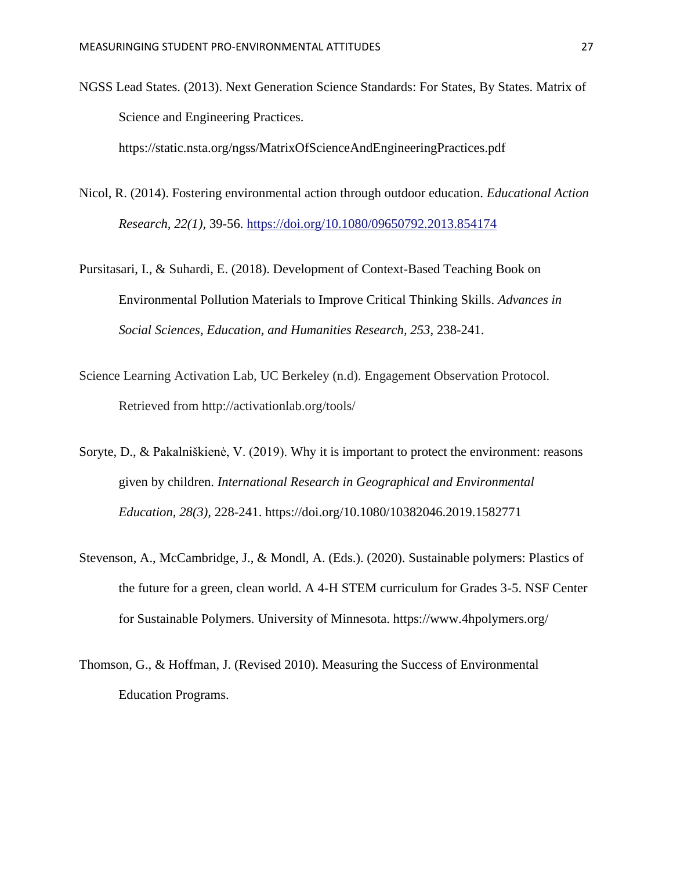NGSS Lead States. (2013). Next Generation Science Standards: For States, By States. Matrix of Science and Engineering Practices.

https://static.nsta.org/ngss/MatrixOfScienceAndEngineeringPractices.pdf

- Nicol, R. (2014). Fostering environmental action through outdoor education. *Educational Action Research, 22(1),* 39-56.<https://doi.org/10.1080/09650792.2013.854174>
- Pursitasari, I., & Suhardi, E. (2018). Development of Context-Based Teaching Book on Environmental Pollution Materials to Improve Critical Thinking Skills. *Advances in Social Sciences, Education, and Humanities Research, 253,* 238-241.
- Science Learning Activation Lab, UC Berkeley (n.d). Engagement Observation Protocol. Retrieved from http://activationlab.org/tools/
- Soryte, D., & Pakalniškienė, V. (2019). Why it is important to protect the environment: reasons given by children. *International Research in Geographical and Environmental Education, 28(3),* 228-241. https://doi.org/10.1080/10382046.2019.1582771
- Stevenson, A., McCambridge, J., & Mondl, A. (Eds.). (2020). Sustainable polymers: Plastics of the future for a green, clean world. A 4-H STEM curriculum for Grades 3-5. NSF Center for Sustainable Polymers. University of Minnesota. https://www.4hpolymers.org/
- Thomson, G., & Hoffman, J. (Revised 2010). Measuring the Success of Environmental Education Programs.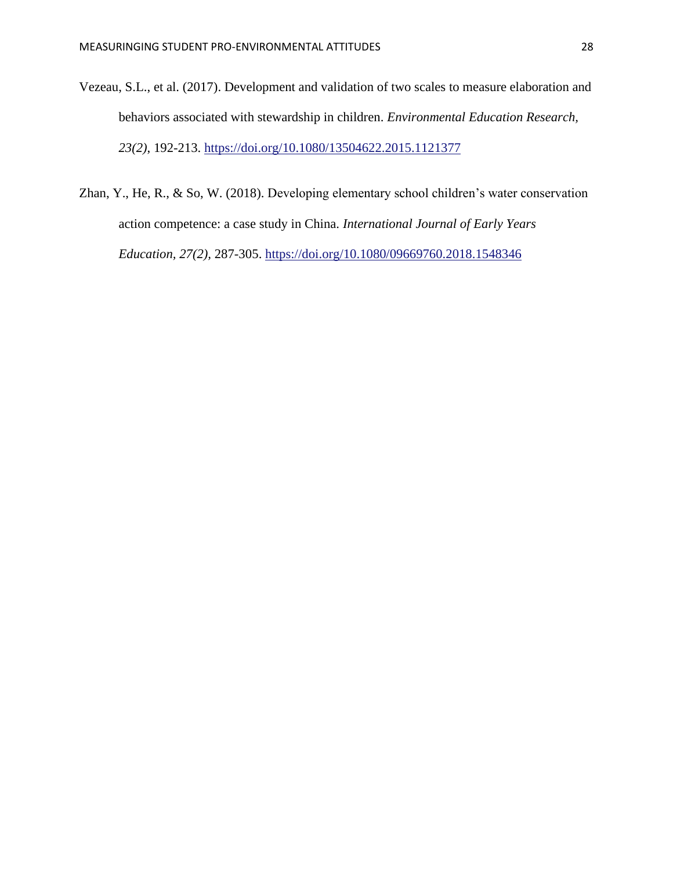- Vezeau, S.L., et al. (2017). Development and validation of two scales to measure elaboration and behaviors associated with stewardship in children. *Environmental Education Research, 23(2)*, 192-213.<https://doi.org/10.1080/13504622.2015.1121377>
- Zhan, Y., He, R., & So, W. (2018). Developing elementary school children's water conservation action competence: a case study in China. *International Journal of Early Years Education, 27(2),* 287-305.<https://doi.org/10.1080/09669760.2018.1548346>